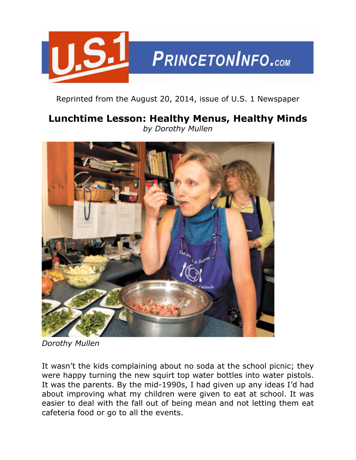

Reprinted from the August 20, 2014, issue of U.S. 1 Newspaper

## **Lunchtime Lesson: Healthy Menus, Healthy Minds** *by Dorothy Mullen*



*Dorothy Mullen*

It wasn't the kids complaining about no soda at the school picnic; they were happy turning the new squirt top water bottles into water pistols. It was the parents. By the mid-1990s, I had given up any ideas I'd had about improving what my children were given to eat at school. It was easier to deal with the fall out of being mean and not letting them eat cafeteria food or go to all the events.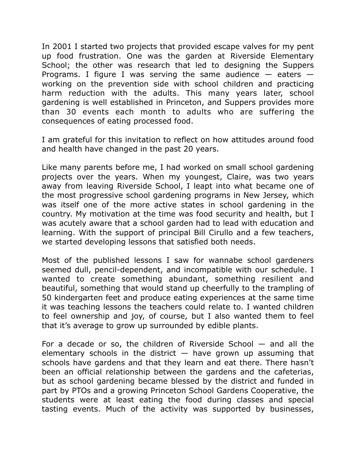In 2001 I started two projects that provided escape valves for my pent up food frustration. One was the garden at Riverside Elementary School; the other was research that led to designing the Suppers Programs. I figure I was serving the same audience  $-$  eaters  $$ working on the prevention side with school children and practicing harm reduction with the adults. This many years later, school gardening is well established in Princeton, and Suppers provides more than 30 events each month to adults who are suffering the consequences of eating processed food.

I am grateful for this invitation to reflect on how attitudes around food and health have changed in the past 20 years.

Like many parents before me, I had worked on small school gardening projects over the years. When my youngest, Claire, was two years away from leaving Riverside School, I leapt into what became one of the most progressive school gardening programs in New Jersey, which was itself one of the more active states in school gardening in the country. My motivation at the time was food security and health, but I was acutely aware that a school garden had to lead with education and learning. With the support of principal Bill Cirullo and a few teachers, we started developing lessons that satisfied both needs.

Most of the published lessons I saw for wannabe school gardeners seemed dull, pencil-dependent, and incompatible with our schedule. I wanted to create something abundant, something resilient and beautiful, something that would stand up cheerfully to the trampling of 50 kindergarten feet and produce eating experiences at the same time it was teaching lessons the teachers could relate to. I wanted children to feel ownership and joy, of course, but I also wanted them to feel that it's average to grow up surrounded by edible plants.

For a decade or so, the children of Riverside School  $-$  and all the elementary schools in the district  $-$  have grown up assuming that schools have gardens and that they learn and eat there. There hasn't been an official relationship between the gardens and the cafeterias, but as school gardening became blessed by the district and funded in part by PTOs and a growing Princeton School Gardens Cooperative, the students were at least eating the food during classes and special tasting events. Much of the activity was supported by businesses,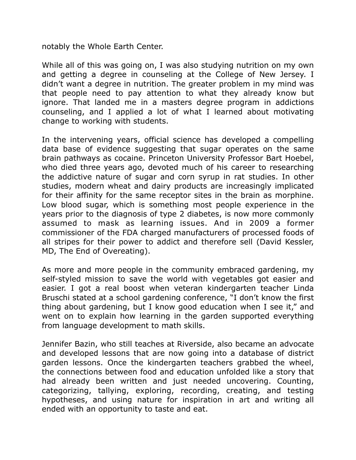notably the Whole Earth Center.

While all of this was going on, I was also studying nutrition on my own and getting a degree in counseling at the College of New Jersey. I didn't want a degree in nutrition. The greater problem in my mind was that people need to pay attention to what they already know but ignore. That landed me in a masters degree program in addictions counseling, and I applied a lot of what I learned about motivating change to working with students.

In the intervening years, official science has developed a compelling data base of evidence suggesting that sugar operates on the same brain pathways as cocaine. Princeton University Professor Bart Hoebel, who died three years ago, devoted much of his career to researching the addictive nature of sugar and corn syrup in rat studies. In other studies, modern wheat and dairy products are increasingly implicated for their affinity for the same receptor sites in the brain as morphine. Low blood sugar, which is something most people experience in the years prior to the diagnosis of type 2 diabetes, is now more commonly assumed to mask as learning issues. And in 2009 a former commissioner of the FDA charged manufacturers of processed foods of all stripes for their power to addict and therefore sell (David Kessler, MD, The End of Overeating).

As more and more people in the community embraced gardening, my self-styled mission to save the world with vegetables got easier and easier. I got a real boost when veteran kindergarten teacher Linda Bruschi stated at a school gardening conference, "I don't know the first thing about gardening, but I know good education when I see it," and went on to explain how learning in the garden supported everything from language development to math skills.

Jennifer Bazin, who still teaches at Riverside, also became an advocate and developed lessons that are now going into a database of district garden lessons. Once the kindergarten teachers grabbed the wheel, the connections between food and education unfolded like a story that had already been written and just needed uncovering. Counting, categorizing, tallying, exploring, recording, creating, and testing hypotheses, and using nature for inspiration in art and writing all ended with an opportunity to taste and eat.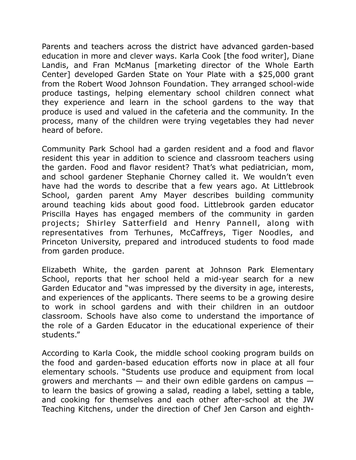Parents and teachers across the district have advanced garden-based education in more and clever ways. Karla Cook [the food writer], Diane Landis, and Fran McManus [marketing director of the Whole Earth Center] developed Garden State on Your Plate with a \$25,000 grant from the Robert Wood Johnson Foundation. They arranged school-wide produce tastings, helping elementary school children connect what they experience and learn in the school gardens to the way that produce is used and valued in the cafeteria and the community. In the process, many of the children were trying vegetables they had never heard of before.

Community Park School had a garden resident and a food and flavor resident this year in addition to science and classroom teachers using the garden. Food and flavor resident? That's what pediatrician, mom, and school gardener Stephanie Chorney called it. We wouldn't even have had the words to describe that a few years ago. At Littlebrook School, garden parent Amy Mayer describes building community around teaching kids about good food. Littlebrook garden educator Priscilla Hayes has engaged members of the community in garden projects; Shirley Satterfield and Henry Pannell, along with representatives from Terhunes, McCaffreys, Tiger Noodles, and Princeton University, prepared and introduced students to food made from garden produce.

Elizabeth White, the garden parent at Johnson Park Elementary School, reports that her school held a mid-year search for a new Garden Educator and "was impressed by the diversity in age, interests, and experiences of the applicants. There seems to be a growing desire to work in school gardens and with their children in an outdoor classroom. Schools have also come to understand the importance of the role of a Garden Educator in the educational experience of their students."

According to Karla Cook, the middle school cooking program builds on the food and garden-based education efforts now in place at all four elementary schools. "Students use produce and equipment from local growers and merchants  $-$  and their own edible gardens on campus  $$ to learn the basics of growing a salad, reading a label, setting a table, and cooking for themselves and each other after-school at the JW Teaching Kitchens, under the direction of Chef Jen Carson and eighth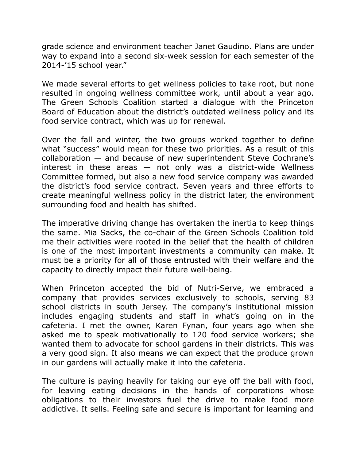grade science and environment teacher Janet Gaudino. Plans are under way to expand into a second six-week session for each semester of the 2014-'15 school year."

We made several efforts to get wellness policies to take root, but none resulted in ongoing wellness committee work, until about a year ago. The Green Schools Coalition started a dialogue with the Princeton Board of Education about the district's outdated wellness policy and its food service contract, which was up for renewal.

Over the fall and winter, the two groups worked together to define what "success" would mean for these two priorities. As a result of this collaboration — and because of new superintendent Steve Cochrane's interest in these areas  $-$  not only was a district-wide Wellness Committee formed, but also a new food service company was awarded the district's food service contract. Seven years and three efforts to create meaningful wellness policy in the district later, the environment surrounding food and health has shifted.

The imperative driving change has overtaken the inertia to keep things the same. Mia Sacks, the co-chair of the Green Schools Coalition told me their activities were rooted in the belief that the health of children is one of the most important investments a community can make. It must be a priority for all of those entrusted with their welfare and the capacity to directly impact their future well-being.

When Princeton accepted the bid of Nutri-Serve, we embraced a company that provides services exclusively to schools, serving 83 school districts in south Jersey. The company's institutional mission includes engaging students and staff in what's going on in the cafeteria. I met the owner, Karen Fynan, four years ago when she asked me to speak motivationally to 120 food service workers; she wanted them to advocate for school gardens in their districts. This was a very good sign. It also means we can expect that the produce grown in our gardens will actually make it into the cafeteria.

The culture is paying heavily for taking our eye off the ball with food, for leaving eating decisions in the hands of corporations whose obligations to their investors fuel the drive to make food more addictive. It sells. Feeling safe and secure is important for learning and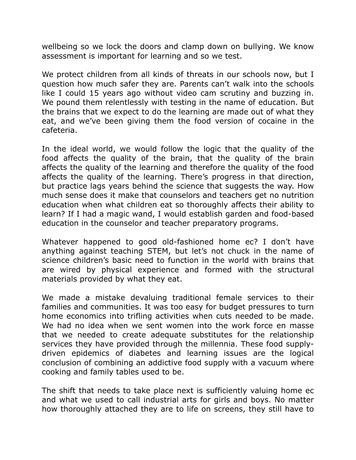wellbeing so we lock the doors and clamp down on bullying. We know assessment is important for learning and so we test.

We protect children from all kinds of threats in our schools now, but I question how much safer they are. Parents can't walk into the schools like I could 15 years ago without video cam scrutiny and buzzing in. We pound them relentlessly with testing in the name of education. But the brains that we expect to do the learning are made out of what they eat, and we've been giving them the food version of cocaine in the cafeteria.

In the ideal world, we would follow the logic that the quality of the food affects the quality of the brain, that the quality of the brain affects the quality of the learning and therefore the quality of the food affects the quality of the learning. There's progress in that direction, but practice lags years behind the science that suggests the way. How much sense does it make that counselors and teachers get no nutrition education when what children eat so thoroughly affects their ability to learn? If I had a magic wand, I would establish garden and food-based education in the counselor and teacher preparatory programs.

Whatever happened to good old-fashioned home ec? I don't have anything against teaching STEM, but let's not chuck in the name of science children's basic need to function in the world with brains that are wired by physical experience and formed with the structural materials provided by what they eat.

We made a mistake devaluing traditional female services to their families and communities. It was too easy for budget pressures to turn home economics into trifling activities when cuts needed to be made. We had no idea when we sent women into the work force en masse that we needed to create adequate substitutes for the relationship services they have provided through the millennia. These food supplydriven epidemics of diabetes and learning issues are the logical conclusion of combining an addictive food supply with a vacuum where cooking and family tables used to be.

The shift that needs to take place next is sufficiently valuing home ec and what we used to call industrial arts for girls and boys. No matter how thoroughly attached they are to life on screens, they still have to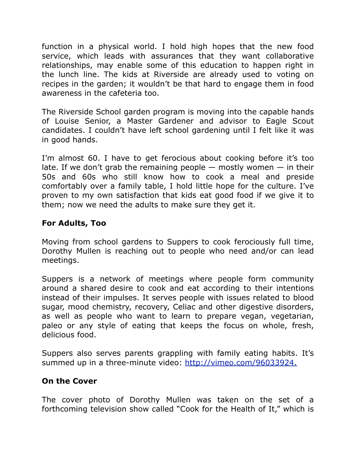function in a physical world. I hold high hopes that the new food service, which leads with assurances that they want collaborative relationships, may enable some of this education to happen right in the lunch line. The kids at Riverside are already used to voting on recipes in the garden; it wouldn't be that hard to engage them in food awareness in the cafeteria too.

The Riverside School garden program is moving into the capable hands of Louise Senior, a Master Gardener and advisor to Eagle Scout candidates. I couldn't have left school gardening until I felt like it was in good hands.

I'm almost 60. I have to get ferocious about cooking before it's too late. If we don't grab the remaining people  $-$  mostly women  $-$  in their 50s and 60s who still know how to cook a meal and preside comfortably over a family table, I hold little hope for the culture. I've proven to my own satisfaction that kids eat good food if we give it to them; now we need the adults to make sure they get it.

## **For Adults, Too**

Moving from school gardens to Suppers to cook ferociously full time, Dorothy Mullen is reaching out to people who need and/or can lead meetings.

Suppers is a network of meetings where people form community around a shared desire to cook and eat according to their intentions instead of their impulses. It serves people with issues related to blood sugar, mood chemistry, recovery, Celiac and other digestive disorders, as well as people who want to learn to prepare vegan, vegetarian, paleo or any style of eating that keeps the focus on whole, fresh, delicious food.

Suppers also serves parents grappling with family eating habits. It's summed up in a three-minute video:<http://vimeo.com/96033924.>

## **On the Cover**

The cover photo of Dorothy Mullen was taken on the set of a forthcoming television show called "Cook for the Health of It," which is